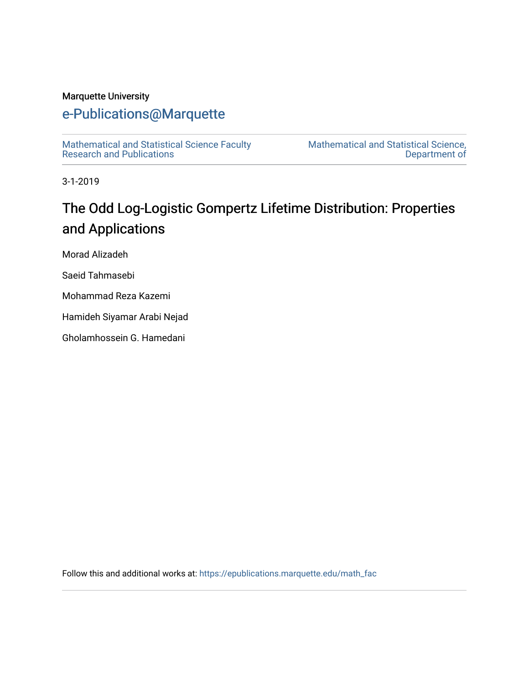# Marquette University

# [e-Publications@Marquette](https://epublications.marquette.edu/)

[Mathematical and Statistical Science Faculty](https://epublications.marquette.edu/math_fac)  [Research and Publications](https://epublications.marquette.edu/math_fac) 

[Mathematical and Statistical Science,](https://epublications.marquette.edu/math)  [Department of](https://epublications.marquette.edu/math) 

3-1-2019

# The Odd Log-Logistic Gompertz Lifetime Distribution: Properties and Applications

Morad Alizadeh

Saeid Tahmasebi

Mohammad Reza Kazemi

Hamideh Siyamar Arabi Nejad

Gholamhossein G. Hamedani

Follow this and additional works at: [https://epublications.marquette.edu/math\\_fac](https://epublications.marquette.edu/math_fac?utm_source=epublications.marquette.edu%2Fmath_fac%2F35&utm_medium=PDF&utm_campaign=PDFCoverPages)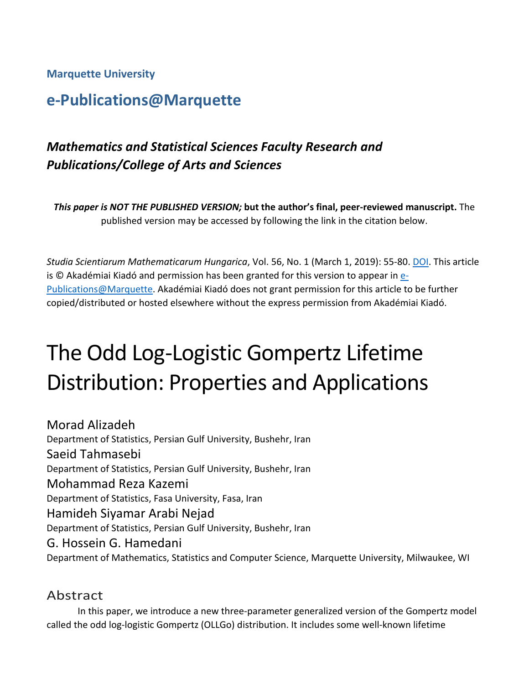**Marquette University**

# **e-Publications@Marquette**

# *Mathematics and Statistical Sciences Faculty Research and Publications/College of Arts and Sciences*

*This paper is NOT THE PUBLISHED VERSION;* **but the author's final, peer-reviewed manuscript.** The published version may be accessed by following the link in the citation below.

*Studia Scientiarum Mathematicarum Hungarica*, Vol. 56, No. 1 (March 1, 2019): 55-80[. DOI.](https://doi.org/10.1556/012.2019.56.1.1420) This article is © Akadémiai Kiadó and permission has been granted for this version to appear in [e-](http://epublications.marquette.edu/)[Publications@Marquette.](http://epublications.marquette.edu/) Akadémiai Kiadó does not grant permission for this article to be further copied/distributed or hosted elsewhere without the express permission from Akadémiai Kiadó.

# The Odd Log-Logistic Gompertz Lifetime Distribution: Properties and Applications

Morad Alizadeh Department of Statistics, Persian Gulf University, Bushehr, Iran Saeid Tahmasebi Department of Statistics, Persian Gulf University, Bushehr, Iran Mohammad Reza Kazemi Department of Statistics, Fasa University, Fasa, Iran Hamideh Siyamar Arabi Nejad Department of Statistics, Persian Gulf University, Bushehr, Iran G. Hossein G. Hamedani Department of Mathematics, Statistics and Computer Science, Marquette University, Milwaukee, WI

# Abstract

In this paper, we introduce a new three-parameter generalized version of the Gompertz model called the odd log-logistic Gompertz (OLLGo) distribution. It includes some well-known lifetime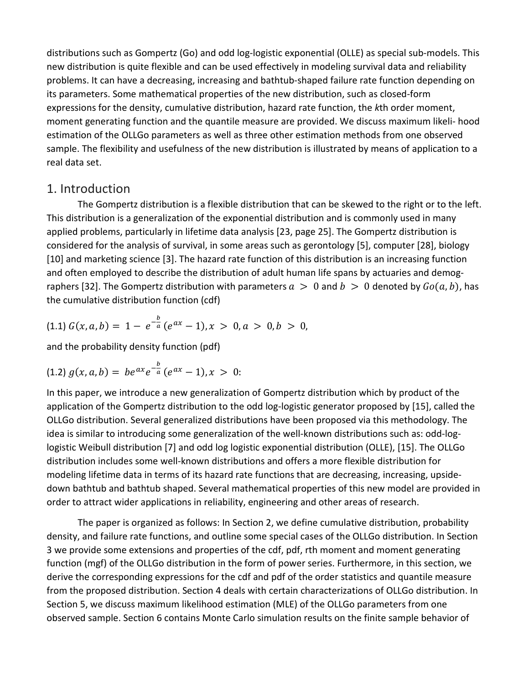distributions such as Gompertz (Go) and odd log-logistic exponential (OLLE) as special sub-models. This new distribution is quite flexible and can be used effectively in modeling survival data and reliability problems. It can have a decreasing, increasing and bathtub-shaped failure rate function depending on its parameters. Some mathematical properties of the new distribution, such as closed-form expressions for the density, cumulative distribution, hazard rate function, the *k*th order moment, moment generating function and the quantile measure are provided. We discuss maximum likeli- hood estimation of the OLLGo parameters as well as three other estimation methods from one observed sample. The flexibility and usefulness of the new distribution is illustrated by means of application to a real data set.

## 1. Introduction

The Gompertz distribution is a flexible distribution that can be skewed to the right or to the left. This distribution is a generalization of the exponential distribution and is commonly used in many applied problems, particularly in lifetime data analysis [23, page 25]. The Gompertz distribution is considered for the analysis of survival, in some areas such as gerontology [5], computer [28], biology [10] and marketing science [3]. The hazard rate function of this distribution is an increasing function and often employed to describe the distribution of adult human life spans by actuaries and demographers [32]. The Gompertz distribution with parameters  $a > 0$  and  $b > 0$  denoted by  $Go(a, b)$ , has the cumulative distribution function (cdf)

$$
(1.1) G(x, a, b) = 1 - e^{-\frac{b}{a}} (e^{ax} - 1), x > 0, a > 0, b > 0,
$$

and the probability density function (pdf)

$$
(1.2) g(x, a, b) = b e^{ax} e^{-\frac{b}{a}} (e^{ax} - 1), x > 0:
$$

In this paper, we introduce a new generalization of Gompertz distribution which by product of the application of the Gompertz distribution to the odd log-logistic generator proposed by [15], called the OLLGo distribution. Several generalized distributions have been proposed via this methodology. The idea is similar to introducing some generalization of the well-known distributions such as: odd-loglogistic Weibull distribution [7] and odd log logistic exponential distribution (OLLE), [15]. The OLLGo distribution includes some well-known distributions and offers a more flexible distribution for modeling lifetime data in terms of its hazard rate functions that are decreasing, increasing, upsidedown bathtub and bathtub shaped. Several mathematical properties of this new model are provided in order to attract wider applications in reliability, engineering and other areas of research.

The paper is organized as follows: In Section 2, we define cumulative distribution, probability density, and failure rate functions, and outline some special cases of the OLLGo distribution. In Section 3 we provide some extensions and properties of the cdf, pdf, rth moment and moment generating function (mgf) of the OLLGo distribution in the form of power series. Furthermore, in this section, we derive the corresponding expressions for the cdf and pdf of the order statistics and quantile measure from the proposed distribution. Section 4 deals with certain characterizations of OLLGo distribution. In Section 5, we discuss maximum likelihood estimation (MLE) of the OLLGo parameters from one observed sample. Section 6 contains Monte Carlo simulation results on the finite sample behavior of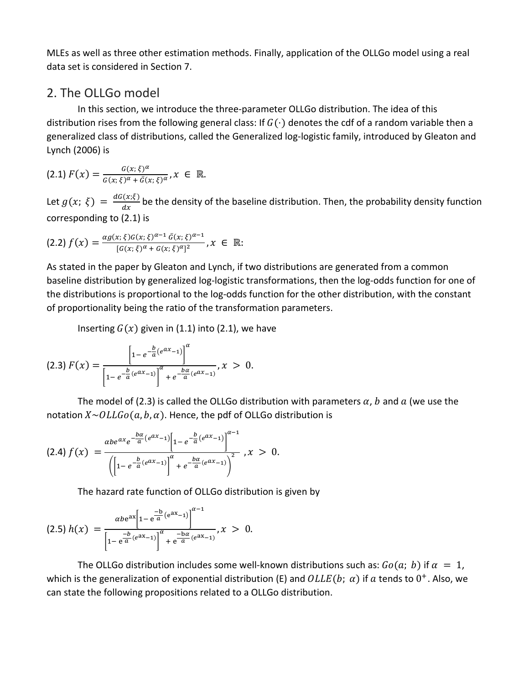MLEs as well as three other estimation methods. Finally, application of the OLLGo model using a real data set is considered in Section 7.

# 2. The OLLGo model

In this section, we introduce the three-parameter OLLGo distribution. The idea of this distribution rises from the following general class: If  $G(\cdot)$  denotes the cdf of a random variable then a generalized class of distributions, called the Generalized log-logistic family, introduced by Gleaton and Lynch (2006) is

$$
(2.1) F(x) = \frac{G(x;\xi)^{\alpha}}{G(x;\xi)^{\alpha} + \bar{G}(x;\xi)^{\alpha}}, x \in \mathbb{R}.
$$

Let  $g(x; \xi) = \frac{dG(x;\xi)}{dx}$  be the density of the baseline distribution. Then, the probability density function corresponding to (2.1) is

$$
(2.2)\,f(x) = \frac{\alpha g(x;\xi)G(x;\xi)^{\alpha-1}\,\bar{G}(x;\xi)^{\alpha-1}}{[G(x;\xi)^{\alpha}+G(x;\xi)^{\alpha}]^2}, x \in \mathbb{R}.
$$

As stated in the paper by Gleaton and Lynch, if two distributions are generated from a common baseline distribution by generalized log-logistic transformations, then the log-odds function for one of the distributions is proportional to the log-odds function for the other distribution, with the constant of proportionality being the ratio of the transformation parameters.

Inserting  $G(x)$  given in (1.1) into (2.1), we have

$$
(2.3) F(x) = \frac{\left[1 - e^{-\frac{b}{a}(e^{ax}-1)}\right]^{\alpha}}{\left[1 - e^{-\frac{b}{a}(e^{ax}-1)}\right]^{\alpha} + e^{-\frac{b\alpha}{a}(e^{ax}-1)}}, x > 0.
$$

The model of (2.3) is called the OLLGo distribution with parameters  $\alpha$ , b and  $\alpha$  (we use the notation  $X \sim OLLGo(a, b, a)$ . Hence, the pdf of OLLGo distribution is

$$
(2.4) f(x) = \frac{\alpha b e^{\alpha x} e^{-\frac{b\alpha}{a}(e^{\alpha x}-1)} \left[1 - e^{-\frac{b}{a}(e^{\alpha x}-1)}\right]^{\alpha-1}}{\left(\left[1 - e^{-\frac{b}{a}(e^{\alpha x}-1)}\right]^{\alpha} + e^{-\frac{b\alpha}{a}(e^{\alpha x}-1)}\right)^2}, x > 0.
$$

The hazard rate function of OLLGo distribution is given by

$$
(2.5) h(x) = \frac{\alpha b e^{ax} \left[1 - e^{\frac{-b}{a}(e^{ax}-1)}\right]^{\alpha-1}}{\left[1 - e^{\frac{-b}{a}(e^{ax}-1)}\right]^{\alpha} + e^{\frac{-b\alpha}{a}(e^{ax}-1)}}, x > 0.
$$

The OLLGo distribution includes some well-known distributions such as:  $Go(a; b)$  if  $\alpha = 1$ , which is the generalization of exponential distribution (E) and  $OLLE(b; \alpha)$  if a tends to  $0^+$ . Also, we can state the following propositions related to a OLLGo distribution.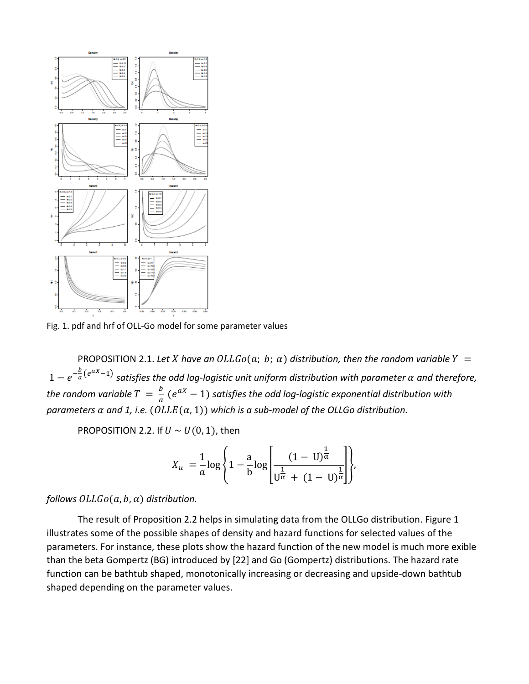

Fig. 1. pdf and hrf of OLL-Go model for some parameter values

PROPOSITION 2.1. Let *X* have an  $OLLGo(a; b; a)$  distribution, then the random variable  $Y =$  $1-e^{-\frac{b}{a}(e^{aX}-1)}$  satisfies the odd log-logistic unit uniform distribution with parameter  $\alpha$  and therefore, *the random variable*  $T = \frac{b}{a} (e^{aX} - 1)$  *satisfies the odd log-logistic exponential distribution with parameters*  $\alpha$  *and 1, i.e.* ( $OLLE(\alpha, 1)$ ) which is a sub-model of the OLLGo distribution.

PROPOSITION 2.2. If  $U \sim U(0, 1)$ , then

$$
X_u = \frac{1}{a} \log \left\{ 1 - \frac{a}{b} \log \left[ \frac{(1 - U)^{\frac{1}{\alpha}}}{U^{\frac{1}{\alpha}} + (1 - U)^{\frac{1}{\alpha}}} \right] \right\},\,
$$

#### *follows*  $OLLGo(a, b, a)$  *distribution.*

The result of Proposition 2.2 helps in simulating data from the OLLGo distribution. Figure 1 illustrates some of the possible shapes of density and hazard functions for selected values of the parameters. For instance, these plots show the hazard function of the new model is much more exible than the beta Gompertz (BG) introduced by [22] and Go (Gompertz) distributions. The hazard rate function can be bathtub shaped, monotonically increasing or decreasing and upside-down bathtub shaped depending on the parameter values.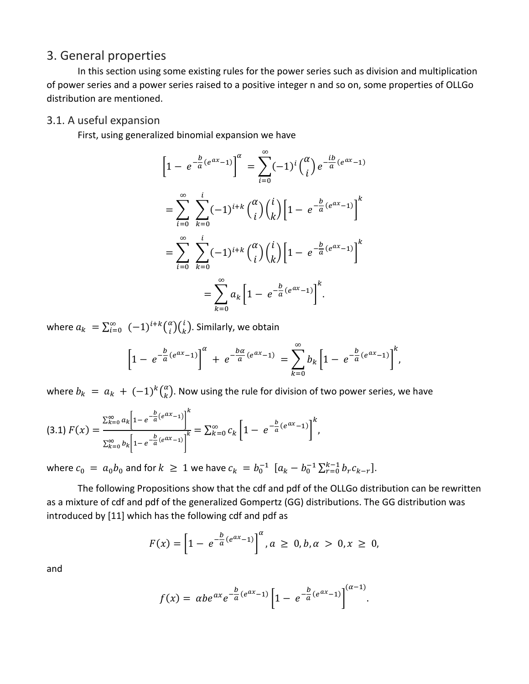# 3. General properties

In this section using some existing rules for the power series such as division and multiplication of power series and a power series raised to a positive integer n and so on, some properties of OLLGo distribution are mentioned.

## 3.1. A useful expansion

First, using generalized binomial expansion we have

$$
\[1 - e^{-\frac{b}{a}(e^{ax}-1)}\]^{a} = \sum_{i=0}^{\infty} (-1)^{i} {a \choose i} e^{-\frac{ib}{a}(e^{ax}-1)} \n= \sum_{i=0}^{\infty} \sum_{k=0}^{i} (-1)^{i+k} {a \choose i} {i \choose k} \left[1 - e^{-\frac{b}{a}(e^{ax}-1)}\right]^{k} \n= \sum_{i=0}^{\infty} \sum_{k=0}^{i} (-1)^{i+k} {a \choose i} {i \choose k} \left[1 - e^{-\frac{b}{a}(e^{ax}-1)}\right]^{k} \n= \sum_{k=0}^{\infty} a_k \left[1 - e^{-\frac{b}{a}(e^{ax}-1)}\right]^{k}.
$$

where  $a_k = \sum_{i=0}^{\infty} (-1)^{i+k} {\binom{\alpha}{i}} {\binom{i}{k}}$ . Similarly, we obtain

$$
\left[1 - e^{-\frac{b}{a}(e^{ax}-1)}\right]^{\alpha} + e^{-\frac{b\alpha}{a}(e^{ax}-1)} = \sum_{k=0}^{\infty} b_k \left[1 - e^{-\frac{b}{a}(e^{ax}-1)}\right]^k,
$$

where  $b_k = a_k + (-1)^k {a \choose k}$ . Now using the rule for division of two power series, we have

$$
(3.1) \ F(x) = \frac{\sum_{k=0}^{\infty} a_k \left[ 1 - e^{-\frac{b}{a}(e^{ax}-1)} \right]^k}{\sum_{k=0}^{\infty} b_k \left[ 1 - e^{-\frac{b}{a}(e^{ax}-1)} \right]^k} = \sum_{k=0}^{\infty} c_k \left[ 1 - e^{-\frac{b}{a}(e^{ax}-1)} \right]^k,
$$

where  $c_0 = a_0 b_0$  and for  $k \ge 1$  we have  $c_k = b_0^{-1} [a_k - b_0^{-1} \sum_{r=0}^{k-1} b_r c_{k-r}].$ 

The following Propositions show that the cdf and pdf of the OLLGo distribution can be rewritten as a mixture of cdf and pdf of the generalized Gompertz (GG) distributions. The GG distribution was introduced by [11] which has the following cdf and pdf as

$$
F(x) = \left[1 - e^{-\frac{b}{a}(e^{ax}-1)}\right]^{\alpha}, \quad a \ge 0, b, \alpha > 0, x \ge 0,
$$

and

$$
f(x) = \alpha b e^{ax} e^{-\frac{b}{a}(e^{ax}-1)} \left[1 - e^{-\frac{b}{a}(e^{ax}-1)}\right]^{(a-1)}.
$$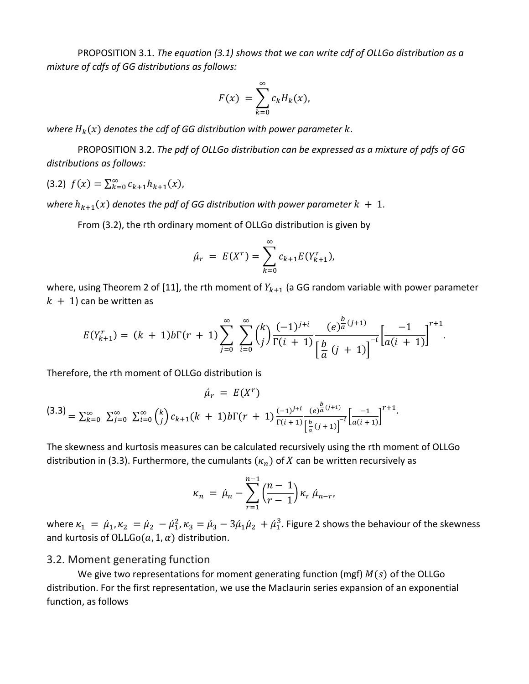PROPOSITION 3.1. *The equation (3.1) shows that we can write cdf of OLLGo distribution as a mixture of cdfs of GG distributions as follows:*

$$
F(x) = \sum_{k=0}^{\infty} c_k H_k(x),
$$

where  $H_k(x)$  denotes the cdf of GG distribution with power parameter  $k$ .

PROPOSITION 3.2. *The pdf of OLLGo distribution can be expressed as a mixture of pdfs of GG distributions as follows:*

$$
(3.2) f(x) = \sum_{k=0}^{\infty} c_{k+1} h_{k+1}(x),
$$

*where*  $h_{k+1}(x)$  denotes the pdf of GG distribution with power parameter  $k + 1$ .

From (3.2), the rth ordinary moment of OLLGo distribution is given by

$$
\hat{\mu}_r = E(X^r) = \sum_{k=0}^{\infty} c_{k+1} E(Y_{k+1}^r),
$$

where, using Theorem 2 of [11], the rth moment of  $Y_{k+1}$  (a GG random variable with power parameter  $k + 1$ ) can be written as

$$
E(Y_{k+1}^r) = (k+1)b\Gamma(r+1)\sum_{j=0}^{\infty}\sum_{i=0}^{\infty}\binom{k}{j}\frac{(-1)^{j+i}}{\Gamma(i+1)}\frac{(e)^{\frac{b}{a}(j+1)}}{\left[\frac{b}{a}(j+1)\right]^{-i}}\left[\frac{-1}{a(i+1)}\right]^{r+1}.
$$

Therefore, the rth moment of OLLGo distribution is

$$
\hat{\mu}_r = E(X^r)
$$
\n
$$
(3.3) = \sum_{k=0}^{\infty} \sum_{j=0}^{\infty} \sum_{i=0}^{\infty} {k \choose j} c_{k+1}(k+1) b \Gamma(r+1) \frac{(-1)^{j+i}}{\Gamma(i+1)} \frac{e^{\frac{b}{\alpha}(j+1)}}{\left[\frac{b}{\alpha}(j+1)\right]^{-i}} \left[\frac{-1}{a(i+1)}\right]^{r+1}.
$$

The skewness and kurtosis measures can be calculated recursively using the rth moment of OLLGo distribution in (3.3). Furthermore, the cumulants  $(\kappa_n)$  of X can be written recursively as

$$
\kappa_n = \hat{\mu}_n - \sum_{r=1}^{n-1} \left( \frac{n-1}{r-1} \right) \kappa_r \, \hat{\mu}_{n-r},
$$

where  $\kappa_1 = \hat{\mu}_1$ ,  $\kappa_2 = \hat{\mu}_2 - \hat{\mu}_1^2$ ,  $\kappa_3 = \hat{\mu}_3 - 3\hat{\mu}_1\hat{\mu}_2 + \hat{\mu}_1^3$ . Figure 2 shows the behaviour of the skewness and kurtosis of  $OLLGo(a, 1, a)$  distribution.

#### 3.2. Moment generating function

We give two representations for moment generating function (mgf)  $M(s)$  of the OLLGo distribution. For the first representation, we use the Maclaurin series expansion of an exponential function, as follows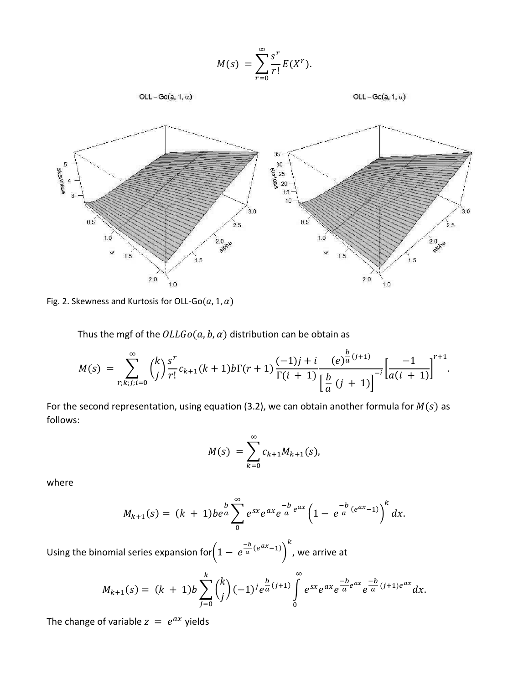$$
M(s) = \sum_{r=0}^{\infty} \frac{s^r}{r!} E(X^r).
$$



OLL-Go(a, 1,  $\alpha$ )



Fig. 2. Skewness and Kurtosis for OLL-Go( $a$ , 1,  $\alpha$ )

Thus the mgf of the  $OLLGo(a, b, a)$  distribution can be obtain as

$$
M(s) = \sum_{r;k,j;i=0}^{\infty} {k \choose j} \frac{s^r}{r!} c_{k+1}(k+1) b \Gamma(r+1) \frac{(-1)j+i}{\Gamma(i+1)} \frac{(e)^{\frac{b}{a}(j+1)}}{[\frac{b}{a}(j+1)]} [\frac{-1}{a(i+1)}]^{r+1}.
$$

For the second representation, using equation (3.2), we can obtain another formula for  $M(s)$  as follows:

$$
M(s) = \sum_{k=0}^{\infty} c_{k+1} M_{k+1}(s),
$$

where

$$
M_{k+1}(s) = (k+1)be^{\frac{b}{a}}\sum_{0}^{\infty}e^{sx}e^{ax}e^{\frac{-b}{a}e^{ax}}\left(1-e^{\frac{-b}{a}(e^{ax}-1)}\right)^{k}dx.
$$

Using the binomial series expansion for $\left(1 - e^{\frac{-b}{a}(e^{ax}-1)}\right)$  $\kappa$ , we arrive at

$$
M_{k+1}(s) = (k+1)b \sum_{j=0}^{k} {k \choose j} (-1)^{j} e^{\frac{b}{a}(j+1)} \int_{0}^{\infty} e^{sx} e^{ax} e^{\frac{-b}{a}e^{ax}} e^{\frac{-b}{a}(j+1)e^{ax}} dx.
$$

The change of variable  $z = e^{ax}$  yields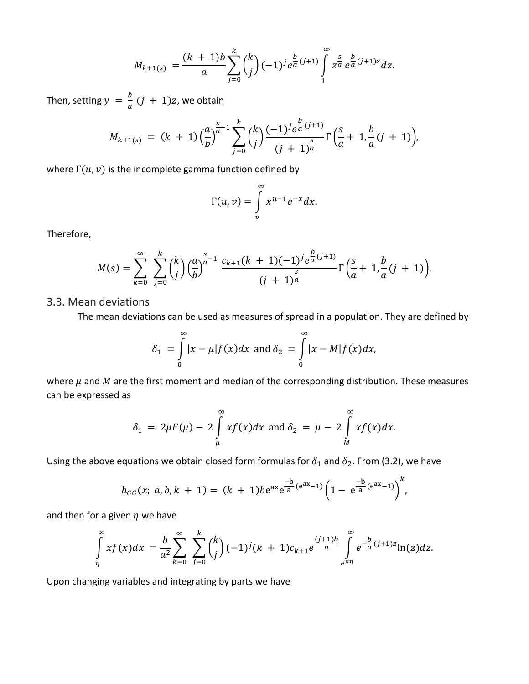$$
M_{k+1(s)} = \frac{(k+1)b}{a} \sum_{j=0}^{k} {k \choose j} (-1)^{j} e^{\frac{b}{a}(j+1)} \int_{1}^{\infty} z^{\frac{s}{a}} e^{\frac{b}{a}(j+1)z} dz.
$$

Then, setting  $y = \frac{b}{a} (j + 1)z$ , we obtain

$$
M_{k+1(s)} = (k+1) \left(\frac{a}{b}\right)^{\frac{s}{a}-1} \sum_{j=0}^{k} {k \choose j} \frac{(-1)^{j} e^{\frac{b}{a}(j+1)}}{(j+1)^{\frac{s}{a}}} \Gamma\left(\frac{s}{a}+1, \frac{b}{a}(j+1)\right),
$$

where  $\Gamma(u, v)$  is the incomplete gamma function defined by

$$
\Gamma(u,v)=\int\limits_{v}^{\infty} x^{u-1}e^{-x}dx.
$$

Therefore,

$$
M(s) = \sum_{k=0}^{\infty} \sum_{j=0}^{k} {k \choose j} \left(\frac{a}{b}\right)^{\frac{s}{a}-1} \frac{c_{k+1}(k+1)(-1)^{j} e^{\frac{b}{a}(j+1)}}{(j+1)^{\frac{s}{a}}} \Gamma\left(\frac{s}{a}+1, \frac{b}{a}(j+1)\right).
$$

#### 3.3. Mean deviations

The mean deviations can be used as measures of spread in a population. They are defined by

$$
\delta_1 = \int_0^\infty |x - \mu| f(x) dx \text{ and } \delta_2 = \int_0^\infty |x - M| f(x) dx,
$$

where  $\mu$  and  $M$  are the first moment and median of the corresponding distribution. These measures can be expressed as

$$
\delta_1 = 2\mu F(\mu) - 2 \int\limits_{\mu}^{\infty} x f(x) dx \text{ and } \delta_2 = \mu - 2 \int\limits_{M}^{\infty} x f(x) dx.
$$

Using the above equations we obtain closed form formulas for  $\delta_1$  and  $\delta_2$ . From (3.2), we have

$$
h_{GG}(x; a, b, k + 1) = (k + 1)be^{ax}e^{\frac{-b}{a}(e^{ax}-1)}\left(1 - e^{\frac{-b}{a}(e^{ax}-1)}\right)^k,
$$

and then for a given  $\eta$  we have

$$
\int\limits_{\eta}^{\infty} x f(x) dx = \frac{b}{a^2} \sum\limits_{k=0}^{\infty} \sum\limits_{j=0}^{k} {k \choose j} (-1)^j (k+1) c_{k+1} e^{\frac{(j+1)b}{a}} \int\limits_{e^{a\eta}}^{\infty} e^{-\frac{b}{a}(j+1)z} \ln(z) dz.
$$

Upon changing variables and integrating by parts we have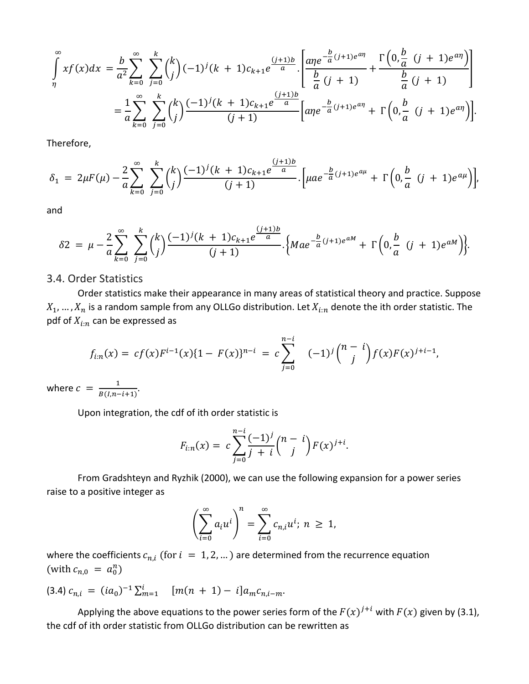$$
\int_{\eta}^{\infty} x f(x) dx = \frac{b}{a^2} \sum_{k=0}^{\infty} \sum_{j=0}^{k} {k \choose j} (-1)^j (k+1) c_{k+1} e^{\frac{(j+1)b}{a}} \cdot \left[ \frac{a \eta e^{-\frac{b}{a}(j+1)e^{a\eta}}}{\frac{b}{a}(j+1)} + \frac{\Gamma\left(0, \frac{b}{a}(j+1)e^{a\eta}\right)}{\frac{b}{a}(j+1)} \right]
$$
  

$$
= \frac{1}{a} \sum_{k=0}^{\infty} \sum_{j=0}^{k} {k \choose j} \frac{(-1)^j (k+1) c_{k+1} e^{\frac{(j+1)b}{a}}}{(j+1)} \left[ a \eta e^{-\frac{b}{a}(j+1)e^{a\eta}} + \Gamma\left(0, \frac{b}{a}(j+1)e^{a\eta}\right) \right].
$$

Therefore,

$$
\delta_1 = 2\mu F(\mu) - \frac{2}{a} \sum_{k=0}^{\infty} \sum_{j=0}^{k} {k \choose j} \frac{(-1)^j (k+1) c_{k+1} e^{\frac{(j+1)b}{a}}}{(j+1)} \cdot \left[ \mu a e^{-\frac{b}{a} (j+1) e^{a\mu}} + \Gamma \left( 0, \frac{b}{a} (j+1) e^{a\mu} \right) \right],
$$

and

$$
\delta 2 = \mu - \frac{2}{a} \sum_{k=0}^{\infty} \sum_{j=0}^{k} {k \choose j} \frac{(-1)^{j} (k+1) c_{k+1} e^{\frac{(j+1)b}{a}}}{(j+1)} \cdot \left\{ M a e^{-\frac{b}{a} (j+1) e^{aM}} + \Gamma \left( 0, \frac{b}{a} (j+1) e^{aM} \right) \right\}.
$$

#### 3.4. Order Statistics

Order statistics make their appearance in many areas of statistical theory and practice. Suppose  $X_1, ..., X_n$  is a random sample from any OLLGo distribution. Let  $X_{i:n}$  denote the ith order statistic. The pdf of  $X_{i:n}$  can be expressed as

$$
f_{i:n}(x) = cf(x)F^{i-1}(x)\{1 - F(x)\}^{n-i} = c\sum_{j=0}^{n-i} (-1)^j {n-i \choose j} f(x)F(x)^{j+i-1},
$$

where  $c = \frac{1}{B(I,n-i+1)}$ .

Upon integration, the cdf of ith order statistic is

$$
F_{i:n}(x) = c \sum_{j=0}^{n-i} \frac{(-1)^j}{j+i} {n-i \choose j} F(x)^{j+i}.
$$

From Gradshteyn and Ryzhik (2000), we can use the following expansion for a power series raise to a positive integer as

$$
\left(\sum_{i=0}^{\infty} a_i u^i\right)^n = \sum_{i=0}^{\infty} c_{n,i} u^i; \ n \geq 1,
$$

where the coefficients  $c_{n,i}$  (for  $i = 1, 2, ...$ ) are determined from the recurrence equation (with  $c_{n,0} = a_0^n$ )

$$
(3.4) c_{n,i} = (ia_0)^{-1} \sum_{m=1}^i \quad [m(n+1) - i] a_m c_{n,i-m}.
$$

Applying the above equations to the power series form of the  $F(x)^{j+i}$  with  $F(x)$  given by (3.1), the cdf of ith order statistic from OLLGo distribution can be rewritten as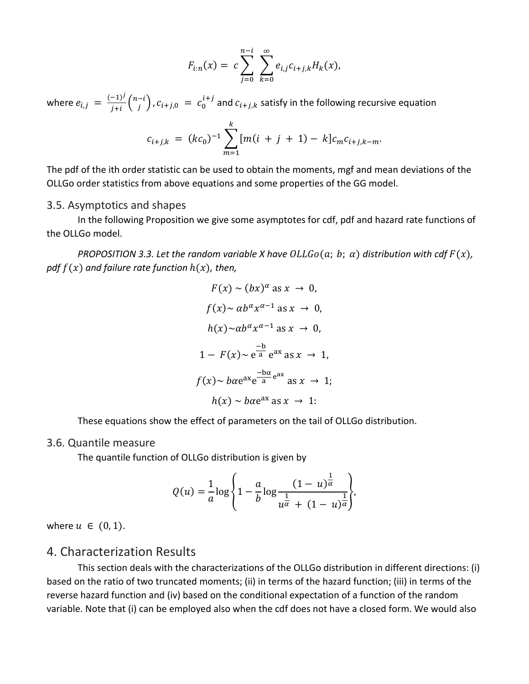$$
F_{i:n}(x) = c \sum_{j=0}^{n-i} \sum_{k=0}^{\infty} e_{i,j} c_{i+j,k} H_k(x),
$$

where  $e_{i,j} = \frac{(-1)^j}{j+i} {n-i \choose j}$  ,  $c_{i+j,0} = c_0^{i+j}$  and  $c_{i+j,k}$  satisfy in the following recursive equation

$$
c_{i+j,k} = (kc_0)^{-1} \sum_{m=1}^{k} [m(i+j+1) - k] c_m c_{i+j,k-m}.
$$

The pdf of the ith order statistic can be used to obtain the moments, mgf and mean deviations of the OLLGo order statistics from above equations and some properties of the GG model.

#### 3.5. Asymptotics and shapes

In the following Proposition we give some asymptotes for cdf, pdf and hazard rate functions of the OLLGo model.

*PROPOSITION 3.3. Let the random variable X have*  $OLLGo(a; b; a)$  *distribution with cdf*  $F(x)$ *, pdf*  $f(x)$  *and failure rate function*  $h(x)$ *, then,* 

$$
F(x) \sim (bx)^{\alpha} \text{ as } x \to 0,
$$
  
\n
$$
f(x) \sim \alpha b^{\alpha} x^{\alpha - 1} \text{ as } x \to 0,
$$
  
\n
$$
h(x) \sim \alpha b^{\alpha} x^{\alpha - 1} \text{ as } x \to 0,
$$
  
\n
$$
1 - F(x) \sim e^{\frac{-b}{a}} e^{ax} \text{ as } x \to 1,
$$
  
\n
$$
f(x) \sim b \alpha e^{ax} e^{\frac{-b \alpha}{a}} e^{ax} \text{ as } x \to 1;
$$
  
\n
$$
h(x) \sim b \alpha e^{ax} \text{ as } x \to 1.
$$

These equations show the effect of parameters on the tail of OLLGo distribution.

#### 3.6. Quantile measure

The quantile function of OLLGo distribution is given by

$$
Q(u) = \frac{1}{a} \log \left\{ 1 - \frac{a}{b} \log \frac{(1-u)^{\frac{1}{\alpha}}}{u^{\frac{1}{\alpha}} + (1-u)^{\frac{1}{\alpha}}} \right\},\,
$$

where  $u \in (0,1)$ .

## 4. Characterization Results

This section deals with the characterizations of the OLLGo distribution in different directions: (i) based on the ratio of two truncated moments; (ii) in terms of the hazard function; (iii) in terms of the reverse hazard function and (iv) based on the conditional expectation of a function of the random variable. Note that (i) can be employed also when the cdf does not have a closed form. We would also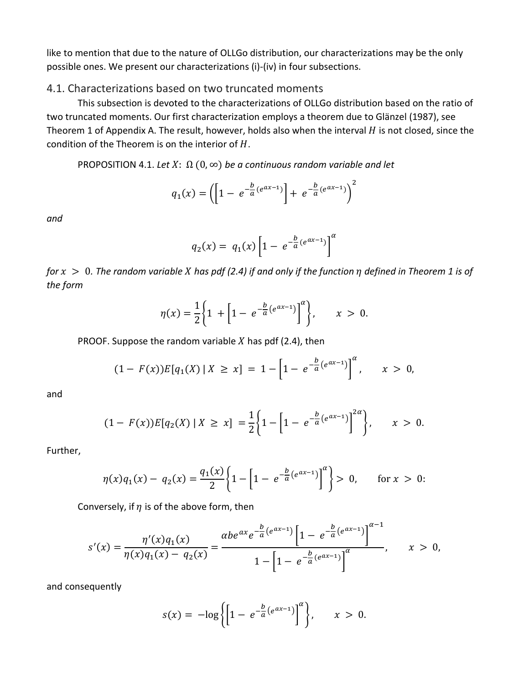like to mention that due to the nature of OLLGo distribution, our characterizations may be the only possible ones. We present our characterizations (i)-(iv) in four subsections.

## 4.1. Characterizations based on two truncated moments

This subsection is devoted to the characterizations of OLLGo distribution based on the ratio of two truncated moments. Our first characterization employs a theorem due to Glänzel (1987), see Theorem 1 of Appendix A. The result, however, holds also when the interval  $H$  is not closed, since the condition of the Theorem is on the interior of  $H$ .

PROPOSITION 4.1. Let  $X: \Omega(0, \infty)$  be a continuous random variable and let

$$
q_1(x) = \left( \left[ 1 - e^{-\frac{b}{a}(e^{ax-1})} \right] + e^{-\frac{b}{a}(e^{ax-1})} \right)^2
$$

*and*

$$
q_2(x) = q_1(x) \left[ 1 - e^{-\frac{b}{a}(e^{ax-1})} \right]^{\alpha}
$$

*for*  > 0*. The random variable has pdf (2.4) if and only if the function defined in Theorem 1 is of the form*

$$
\eta(x) = \frac{1}{2} \left\{ 1 + \left[ 1 - e^{-\frac{b}{a} (e^{ax-1})} \right]^{a} \right\}, \qquad x > 0.
$$

PROOF. Suppose the random variable  $X$  has pdf (2.4), then

$$
(1 - F(x))E[q_1(X) | X \ge x] = 1 - \left[1 - e^{-\frac{b}{a}(e^{ax-1})}\right]^\alpha, \quad x > 0,
$$

and

$$
(1 - F(x))E[q_2(X) | X \ge x] = \frac{1}{2} \left\{ 1 - \left[ 1 - e^{-\frac{b}{a}(e^{ax-1})} \right]^{2a} \right\}, \qquad x > 0.
$$

Further,

$$
\eta(x)q_1(x) - q_2(x) = \frac{q_1(x)}{2} \left\{ 1 - \left[ 1 - e^{-\frac{b}{a}(e^{ax-1})} \right]^{a} \right\} > 0, \quad \text{for } x > 0:
$$

Conversely, if  $\eta$  is of the above form, then

$$
s'(x) = \frac{\eta'(x)q_1(x)}{\eta(x)q_1(x) - q_2(x)} = \frac{\alpha b e^{\alpha x} e^{-\frac{b}{a}(e^{\alpha x-1})} \left[1 - e^{-\frac{b}{a}(e^{\alpha x-1})}\right]^{\alpha-1}}{1 - \left[1 - e^{-\frac{b}{a}(e^{\alpha x-1})}\right]^{\alpha}}, \qquad x > 0,
$$

and consequently

$$
s(x) = -\log \left\{ \left[ 1 - e^{-\frac{b}{a}(e^{ax-1})} \right]^a \right\}, \qquad x > 0.
$$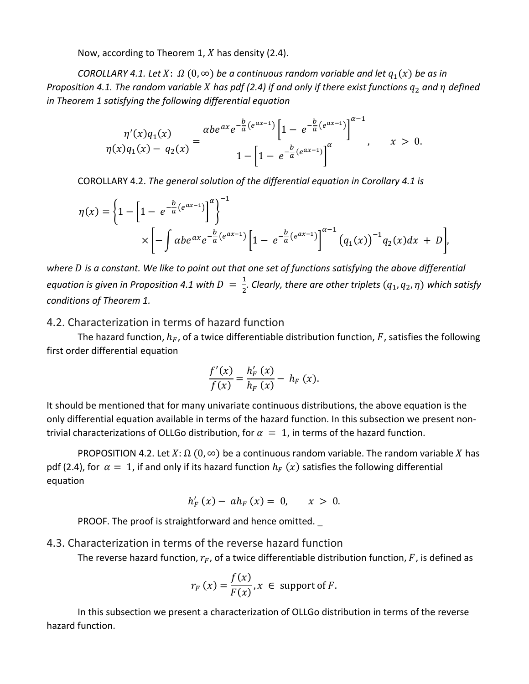Now, according to Theorem 1,  $X$  has density (2.4).

*COROLLARY 4.1. Let X:*  $\Omega$  (0,  $\infty$ ) *be a continuous random variable and let*  $q_1(x)$  *be as in Proposition 4.1. The random variable X has pdf (2.4) if and only if there exist functions*  $q_2$  *and*  $\eta$  *defined in Theorem 1 satisfying the following differential equation*

$$
\frac{\eta'(x)q_1(x)}{\eta(x)q_1(x)-q_2(x)}=\frac{\alpha b e^{\alpha x} e^{-\frac{b}{a}(e^{\alpha x-1})}\left[1-e^{-\frac{b}{a}(e^{\alpha x-1})}\right]^{\alpha-1}}{1-\left[1-e^{-\frac{b}{a}(e^{\alpha x-1})}\right]^{\alpha}}, \qquad x > 0.
$$

COROLLARY 4.2. *The general solution of the differential equation in Corollary 4.1 is*

$$
\eta(x) = \left\{ 1 - \left[ 1 - e^{-\frac{b}{a}(e^{ax-1})} \right]^{a} \right\}^{-1}
$$
  
 
$$
\times \left[ - \int \alpha b e^{ax} e^{-\frac{b}{a}(e^{ax-1})} \left[ 1 - e^{-\frac{b}{a}(e^{ax-1})} \right]^{a-1} \left( q_1(x) \right)^{-1} q_2(x) dx + D \right],
$$

where *D* is a constant. We like to point out that one set of functions satisfying the above differential *equation is given in Proposition 4.1 with*  $D = \frac{1}{2}$ *. Clearly, there are other triplets*  $(q_1, q_2, \eta)$  *which satisfy conditions of Theorem 1.*

#### 4.2. Characterization in terms of hazard function

The hazard function,  $h_F$ , of a twice differentiable distribution function, F, satisfies the following first order differential equation

$$
\frac{f'(x)}{f(x)} = \frac{h'_F(x)}{h_F(x)} - h_F(x).
$$

It should be mentioned that for many univariate continuous distributions, the above equation is the only differential equation available in terms of the hazard function. In this subsection we present nontrivial characterizations of OLLGo distribution, for  $\alpha = 1$ , in terms of the hazard function.

PROPOSITION 4.2. Let  $X: \Omega$  (0,  $\infty$ ) be a continuous random variable. The random variable X has pdf (2.4), for  $\alpha = 1$ , if and only if its hazard function  $h_F(x)$  satisfies the following differential equation

$$
h'_{F}(x) - ah_{F}(x) = 0, \quad x > 0.
$$

PROOF. The proof is straightforward and hence omitted.

#### 4.3. Characterization in terms of the reverse hazard function

The reverse hazard function,  $r_F$ , of a twice differentiable distribution function,  $F$ , is defined as

$$
r_F(x) = \frac{f(x)}{F(x)}, x \in \text{ support of } F.
$$

In this subsection we present a characterization of OLLGo distribution in terms of the reverse hazard function.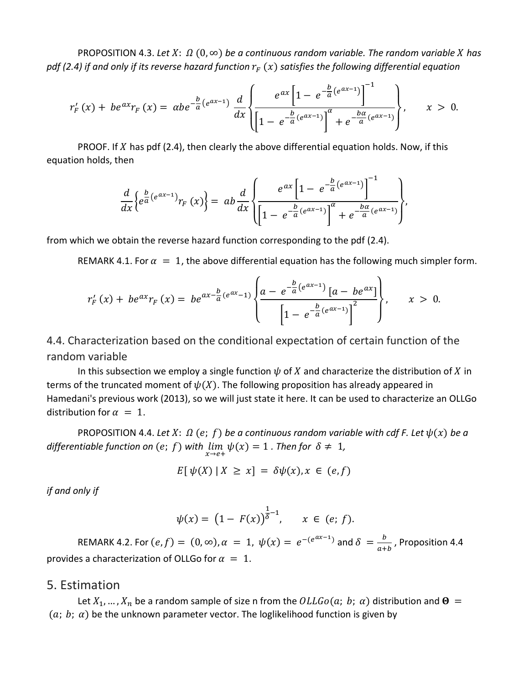PROPOSITION 4.3. Let  $X: \Omega(0, \infty)$  be a continuous random variable. The random variable X has *pdf (2.4) if and only if its reverse hazard function*  $r_F(x)$  satisfies the following differential equation

$$
r'_{F}(x) + be^{ax}r_{F}(x) = \alpha be^{-\frac{b}{a}(e^{ax}-1)}\frac{d}{dx}\left\{\frac{e^{ax}\left[1 - e^{-\frac{b}{a}(e^{ax}-1)}\right]^{-1}}{\left[1 - e^{-\frac{b}{a}(e^{ax}-1)}\right]^{\alpha} + e^{-\frac{ba}{a}(e^{ax}-1)}}\right\}, \qquad x > 0.
$$

PROOF. If  $X$  has pdf (2.4), then clearly the above differential equation holds. Now, if this equation holds, then

$$
\frac{d}{dx}\left\{e^{\frac{b}{a}(e^{ax-1})}r_F(x)\right\} = ab\frac{d}{dx}\left\{\frac{e^{ax}\left[1-e^{-\frac{b}{a}(e^{ax-1})}\right]^{-1}}{\left[1-e^{-\frac{b}{a}(e^{ax-1})}\right]^{\alpha}+e^{-\frac{ba}{a}(e^{ax-1})}}\right\},\,
$$

from which we obtain the reverse hazard function corresponding to the pdf (2.4).

REMARK 4.1. For  $\alpha = 1$ , the above differential equation has the following much simpler form.

$$
r'_{F}(x) + be^{ax}r_{F}(x) = be^{ax-\frac{b}{a}(e^{ax}-1)}\left\{\frac{a-e^{-\frac{b}{a}(e^{ax}-1)}[a-be^{ax}]}{\left[1-e^{-\frac{b}{a}(e^{ax}-1)}\right]^{2}}\right\}, \qquad x > 0.
$$

4.4. Characterization based on the conditional expectation of certain function of the random variable

In this subsection we employ a single function  $\psi$  of  $X$  and characterize the distribution of  $X$  in terms of the truncated moment of  $\psi(X)$ . The following proposition has already appeared in Hamedani's previous work (2013), so we will just state it here. It can be used to characterize an OLLGo distribution for  $\alpha = 1$ .

PROPOSITION 4.4. Let  $X: \Omega(e; f)$  be a continuous random variable with cdf F. Let  $\psi(x)$  be a *differentiable function on*  $(e; f)$  *with*  $\lim_{x \to e^+} \psi(x) = 1$  *. Then for*  $\delta \neq 1$ *,* 

$$
E[\psi(X) | X \ge x] = \delta \psi(x), x \in (e, f)
$$

*if and only if*

$$
\psi(x) = (1 - F(x))^{\frac{1}{\delta} - 1}, \quad x \in (e; f).
$$

REMARK 4.2. For  $(e, f) = (0, \infty)$ ,  $\alpha = 1$ ,  $\psi(x) = e^{-(e^{ax}-1)}$  and  $\delta = \frac{b}{a+b}$ , Proposition 4.4 provides a characterization of OLLGo for  $\alpha = 1$ .

## 5. Estimation

Let  $X_1, ..., X_n$  be a random sample of size n from the  $OLLGo(a; b; \alpha)$  distribution and  $\Theta =$  $(a; b; a)$  be the unknown parameter vector. The loglikelihood function is given by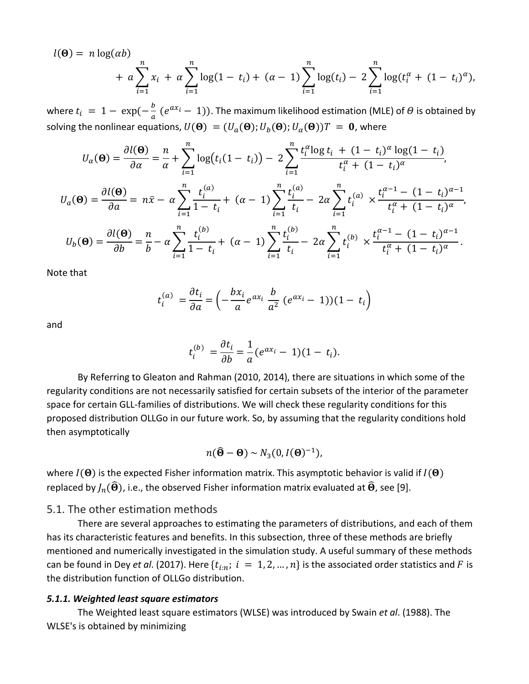$$
l(\Theta) = n \log(\alpha b) + a \sum_{i=1}^{n} x_i + a \sum_{i=1}^{n} \log(1 - t_i) + (\alpha - 1) \sum_{i=1}^{n} \log(t_i) - 2 \sum_{i=1}^{n} \log(t_i^{\alpha} + (1 - t_i)^{\alpha}),
$$

where  $t_i = 1 - \exp(-\frac{b}{a}(e^{ax_i} - 1))$ . The maximum likelihood estimation (MLE) of  $\theta$  is obtained by solving the nonlinear equations,  $U(\mathbf{\Theta}) = (U_a(\mathbf{\Theta}); U_b(\mathbf{\Theta}); U_\alpha(\mathbf{\Theta}))T = \mathbf{0}$ , where

$$
U_{\alpha}(\Theta) = \frac{\partial l(\Theta)}{\partial \alpha} = \frac{n}{\alpha} + \sum_{i=1}^{n} \log(t_i(1-t_i)) - 2\sum_{i=1}^{n} \frac{t_i^{\alpha} \log t_i + (1-t_i)^{\alpha} \log(1-t_i)}{t_i^{\alpha} + (1-t_i)^{\alpha}},
$$
  

$$
U_{\alpha}(\Theta) = \frac{\partial l(\Theta)}{\partial \alpha} = n\bar{x} - \alpha \sum_{i=1}^{n} \frac{t_i^{(\alpha)}}{1-t_i} + (\alpha - 1) \sum_{i=1}^{n} \frac{t_i^{(\alpha)}}{t_i} - 2\alpha \sum_{i=1}^{n} t_i^{(\alpha)} \times \frac{t_i^{\alpha-1} - (1-t_i)^{\alpha-1}}{t_i^{\alpha} + (1-t_i)^{\alpha}},
$$
  

$$
U_{b}(\Theta) = \frac{\partial l(\Theta)}{\partial b} = \frac{n}{b} - \alpha \sum_{i=1}^{n} \frac{t_i^{(b)}}{1-t_i} + (\alpha - 1) \sum_{i=1}^{n} \frac{t_i^{(b)}}{t_i} - 2\alpha \sum_{i=1}^{n} t_i^{(b)} \times \frac{t_i^{\alpha-1} - (1-t_i)^{\alpha-1}}{t_i^{\alpha} + (1-t_i)^{\alpha}}.
$$

Note that

$$
t_i^{(a)} = \frac{\partial t_i}{\partial a} = \left(-\frac{bx_i}{a}e^{ax_i}\frac{b}{a^2}(e^{ax_i}-1)(1-t_i)\right)
$$

and

$$
t_i^{(b)} = \frac{\partial t_i}{\partial b} = \frac{1}{a} (e^{ax_i} - 1)(1 - t_i).
$$

By Referring to Gleaton and Rahman (2010, 2014), there are situations in which some of the regularity conditions are not necessarily satisfied for certain subsets of the interior of the parameter space for certain GLL-families of distributions. We will check these regularity conditions for this proposed distribution OLLGo in our future work. So, by assuming that the regularity conditions hold then asymptotically

$$
n(\widehat{\mathbf{\Theta}}-\mathbf{\Theta})\sim N_3(0,I(\mathbf{\Theta})^{-1}),
$$

where  $I(\Theta)$  is the expected Fisher information matrix. This asymptotic behavior is valid if  $I(\Theta)$ replaced by  $J_n(\widehat{\Theta})$ , i.e., the observed Fisher information matrix evaluated at  $\widehat{\Theta}$ , see [9].

#### 5.1. The other estimation methods

There are several approaches to estimating the parameters of distributions, and each of them has its characteristic features and benefits. In this subsection, three of these methods are briefly mentioned and numerically investigated in the simulation study. A useful summary of these methods can be found in Dey *et al.* (2017). Here  $\{t_{i:n}; i = 1, 2, ..., n\}$  is the associated order statistics and F is the distribution function of OLLGo distribution.

#### *5.1.1. Weighted least square estimators*

The Weighted least square estimators (WLSE) was introduced by Swain *et al*. (1988). The WLSE's is obtained by minimizing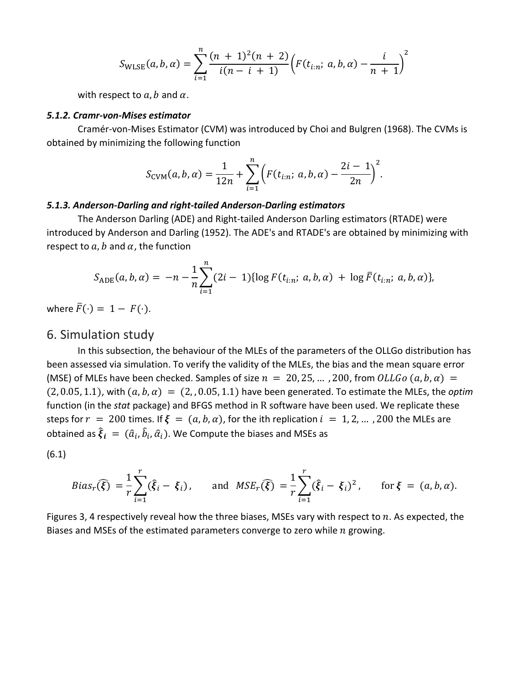$$
S_{\text{WLSE}}(a, b, \alpha) = \sum_{i=1}^{n} \frac{(n+1)^2(n+2)}{i(n-i+1)} \Big( F(t_{i:n}; a, b, \alpha) - \frac{i}{n+1} \Big)^2
$$

with respect to  $a, b$  and  $\alpha$ .

#### *5.1.2. Cramr-von-Mises estimator*

Cramér-von-Mises Estimator (CVM) was introduced by Choi and Bulgren (1968). The CVMs is obtained by minimizing the following function

$$
S_{\text{CVM}}(a, b, \alpha) = \frac{1}{12n} + \sum_{i=1}^{n} \left( F(t_{i:n}; \ a, b, \alpha) - \frac{2i-1}{2n} \right)^2.
$$

#### *5.1.3. Anderson-Darling and right-tailed Anderson-Darling estimators*

The Anderson Darling (ADE) and Right-tailed Anderson Darling estimators (RTADE) were introduced by Anderson and Darling (1952). The ADE's and RTADE's are obtained by minimizing with respect to  $a, b$  and  $\alpha$ , the function

$$
S_{ADE}(a, b, \alpha) = -n - \frac{1}{n} \sum_{i=1}^{n} (2i - 1) \{ \log F(t_{i:n}; a, b, \alpha) + \log \bar{F}(t_{i:n}; a, b, \alpha) \},
$$

where  $\bar{F}(\cdot) = 1 - F(\cdot)$ .

## 6. Simulation study

In this subsection, the behaviour of the MLEs of the parameters of the OLLGo distribution has been assessed via simulation. To verify the validity of the MLEs, the bias and the mean square error (MSE) of MLEs have been checked. Samples of size  $n = 20, 25, ...$ , 200, from  $OLLGo(a, b, a)$  =  $(2, 0.05, 1.1)$ , with  $(a, b, a) = (2, 0.05, 1.1)$  have been generated. To estimate the MLEs, the *optim* function (in the *stat* package) and BFGS method in R software have been used. We replicate these steps for  $r = 200$  times. If  $\xi = (a, b, \alpha)$ , for the ith replication  $i = 1, 2, ...$ , 200 the MLEs are obtained as  $\boldsymbol{\xi}_i \,=\, (\widehat{a}_i,\widehat{b}_i,\widehat{\alpha}_i).$  We Compute the biases and MSEs as

(6.1)

$$
Bias_r(\widehat{\xi}) = \frac{1}{r} \sum_{i=1}^r (\widehat{\xi}_i - \xi_i), \quad \text{and } MSE_r(\widehat{\xi}) = \frac{1}{r} \sum_{i=1}^r (\widehat{\xi}_i - \xi_i)^2, \quad \text{for } \xi = (a, b, \alpha).
$$

Figures 3, 4 respectively reveal how the three biases, MSEs vary with respect to  $n$ . As expected, the Biases and MSEs of the estimated parameters converge to zero while  $n$  growing.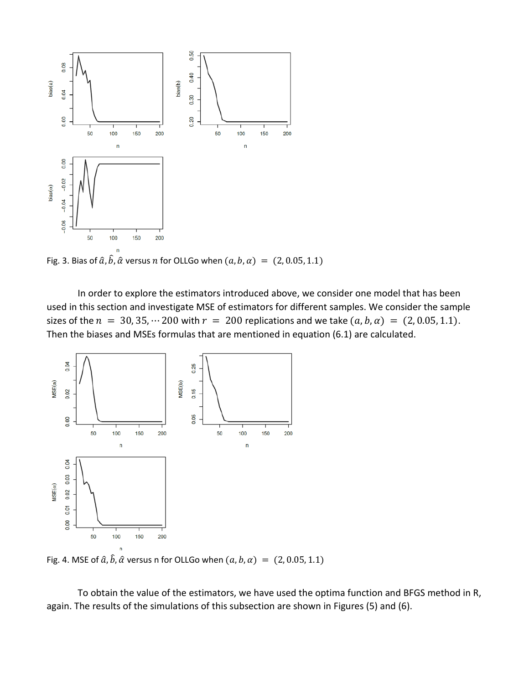

Fig. 3. Bias of  $\hat{a}$ ,  $\hat{b}$ ,  $\hat{\alpha}$  versus  $n$  for OLLGo when  $(a, b, \alpha) = (2, 0.05, 1.1)$ 

In order to explore the estimators introduced above, we consider one model that has been used in this section and investigate MSE of estimators for different samples. We consider the sample sizes of the  $n = 30, 35, \dots 200$  with  $r = 200$  replications and we take  $(a, b, a) = (2, 0.05, 1.1)$ . Then the biases and MSEs formulas that are mentioned in equation (6.1) are calculated.



Fig. 4. MSE of  $\hat{a}$ ,  $\hat{b}$ ,  $\hat{\alpha}$  versus n for OLLGo when  $(a, b, \alpha) = (2, 0.05, 1.1)$ 

To obtain the value of the estimators, we have used the optima function and BFGS method in R, again. The results of the simulations of this subsection are shown in Figures (5) and (6).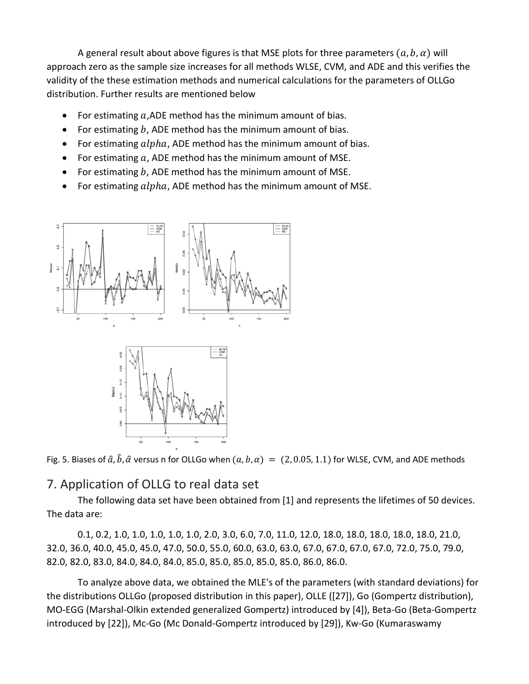A general result about above figures is that MSE plots for three parameters  $(a, b, a)$  will approach zero as the sample size increases for all methods WLSE, CVM, and ADE and this verifies the validity of the these estimation methods and numerical calculations for the parameters of OLLGo distribution. Further results are mentioned below

- For estimating  $a$ , ADE method has the minimum amount of bias.
- For estimating  $b$ , ADE method has the minimum amount of bias.
- For estimating  $alpha$ , ADE method has the minimum amount of bias.
- For estimating  $a$ , ADE method has the minimum amount of MSE.
- For estimating  $b$ , ADE method has the minimum amount of MSE.
- For estimating  $alpha$ , ADE method has the minimum amount of MSE.



Fig. 5. Biases of  $\hat{a}$ ,  $\hat{b}$ ,  $\hat{\alpha}$  versus n for OLLGo when  $(a, b, \alpha) = (2, 0.05, 1.1)$  for WLSE, CVM, and ADE methods

# 7. Application of OLLG to real data set

The following data set have been obtained from [1] and represents the lifetimes of 50 devices. The data are:

0.1, 0.2, 1.0, 1.0, 1.0, 1.0, 1.0, 2.0, 3.0, 6.0, 7.0, 11.0, 12.0, 18.0, 18.0, 18.0, 18.0, 18.0, 21.0, 32.0, 36.0, 40.0, 45.0, 45.0, 47.0, 50.0, 55.0, 60.0, 63.0, 63.0, 67.0, 67.0, 67.0, 67.0, 72.0, 75.0, 79.0, 82.0, 82.0, 83.0, 84.0, 84.0, 84.0, 85.0, 85.0, 85.0, 85.0, 85.0, 86.0, 86.0.

To analyze above data, we obtained the MLE's of the parameters (with standard deviations) for the distributions OLLGo (proposed distribution in this paper), OLLE ([27]), Go (Gompertz distribution), MO-EGG (Marshal-Olkin extended generalized Gompertz) introduced by [4]), Beta-Go (Beta-Gompertz introduced by [22]), Mc-Go (Mc Donald-Gompertz introduced by [29]), Kw-Go (Kumaraswamy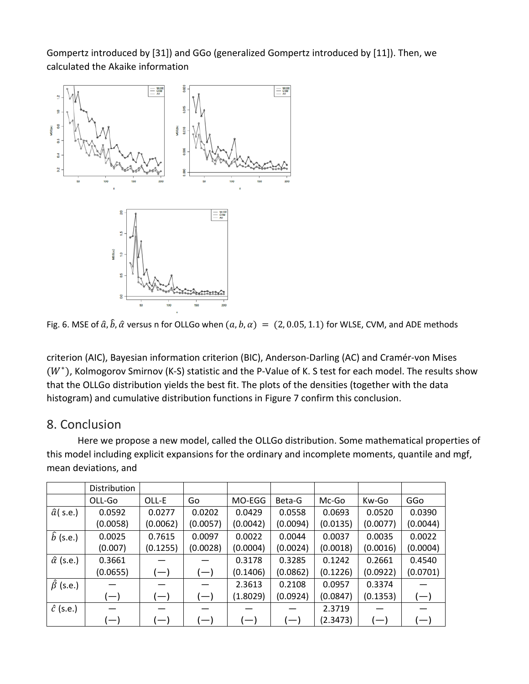Gompertz introduced by [31]) and GGo (generalized Gompertz introduced by [11]). Then, we calculated the Akaike information



Fig. 6. MSE of  $\hat{a}$ ,  $\hat{b}$ ,  $\hat{\alpha}$  versus n for OLLGo when  $(a, b, \alpha) = (2, 0.05, 1.1)$  for WLSE, CVM, and ADE methods

criterion (AIC), Bayesian information criterion (BIC), Anderson-Darling (AC) and Cramér-von Mises  $(W^*)$ , Kolmogorov Smirnov (K-S) statistic and the P-Value of K. S test for each model. The results show that the OLLGo distribution yields the best fit. The plots of the densities (together with the data histogram) and cumulative distribution functions in Figure 7 confirm this conclusion.

# 8. Conclusion

Here we propose a new model, called the OLLGo distribution. Some mathematical properties of this model including explicit expansions for the ordinary and incomplete moments, quantile and mgf, mean deviations, and

|                       | Distribution      |                          |                          |                                 |                          |          |                    |                                 |
|-----------------------|-------------------|--------------------------|--------------------------|---------------------------------|--------------------------|----------|--------------------|---------------------------------|
|                       | OLL-Go            | OLL-E                    | Go                       | MO-EGG                          | Beta-G                   | Mc-Go    | Kw-Go              | GGo                             |
| $\hat{a}$ (s.e.)      | 0.0592            | 0.0277                   | 0.0202                   | 0.0429                          | 0.0558                   | 0.0693   | 0.0520             | 0.0390                          |
|                       | (0.0058)          | (0.0062)                 | (0.0057)                 | (0.0042)                        | (0.0094)                 | (0.0135) | (0.0077)           | (0.0044)                        |
| $\hat{b}$ (s.e.)      | 0.0025            | 0.7615                   | 0.0097                   | 0.0022                          | 0.0044                   | 0.0037   | 0.0035             | 0.0022                          |
|                       | (0.007)           | (0.1255)                 | (0.0028)                 | (0.0004)                        | (0.0024)                 | (0.0018) | (0.0016)           | (0.0004)                        |
| $\hat{\alpha}$ (s.e.) | 0.3661            |                          |                          | 0.3178                          | 0.3285                   | 0.1242   | 0.2661             | 0.4540                          |
|                       | (0.0655)          | $(-)$                    | $(-)$                    | (0.1406)                        | (0.0862)                 | (0.1226) | (0.0922)           | (0.0701)                        |
| $\hat{\beta}$ (s.e.)  |                   |                          |                          | 2.3613                          | 0.2108                   | 0.0957   | 0.3374             |                                 |
|                       | $(-)$             | $(-)$                    | $(-)$                    | (1.8029)                        | (0.0924)                 | (0.0847) | (0.1353)           | $(-)$                           |
| $\hat{c}$ (s.e.)      |                   |                          |                          |                                 |                          | 2.3719   |                    |                                 |
|                       | $\left( -\right)$ | $\overline{\phantom{0}}$ | $\overline{\phantom{0}}$ | $\hspace{0.1mm}-\hspace{0.1mm}$ | $\overline{\phantom{a}}$ | (2.3473) | $\left($ $\right)$ | $\hspace{0.1mm}-\hspace{0.1mm}$ |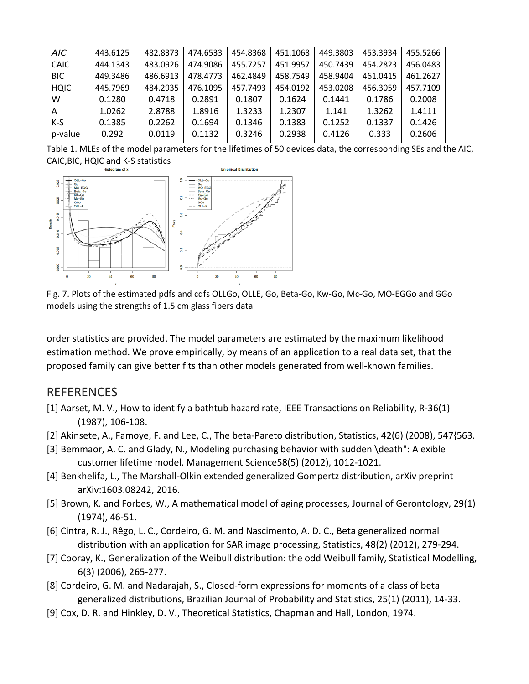| AIC         | 443.6125 | 482.8373 | 474.6533 | 454.8368 | 451.1068 | 449.3803 | 453.3934 | 455.5266 |
|-------------|----------|----------|----------|----------|----------|----------|----------|----------|
| <b>CAIC</b> | 444.1343 | 483.0926 | 474.9086 | 455.7257 | 451.9957 | 450.7439 | 454.2823 | 456.0483 |
| <b>BIC</b>  | 449.3486 | 486.6913 | 478,4773 | 462.4849 | 458.7549 | 458.9404 | 461.0415 | 461.2627 |
| <b>HQIC</b> | 445.7969 | 484.2935 | 476.1095 | 457.7493 | 454.0192 | 453.0208 | 456.3059 | 457.7109 |
| w           | 0.1280   | 0.4718   | 0.2891   | 0.1807   | 0.1624   | 0.1441   | 0.1786   | 0.2008   |
| A           | 1.0262   | 2.8788   | 1.8916   | 1.3233   | 1.2307   | 1.141    | 1.3262   | 1.4111   |
| $K-S$       | 0.1385   | 0.2262   | 0.1694   | 0.1346   | 0.1383   | 0.1252   | 0.1337   | 0.1426   |
| p-value     | 0.292    | 0.0119   | 0.1132   | 0.3246   | 0.2938   | 0.4126   | 0.333    | 0.2606   |
|             |          |          |          |          |          |          |          |          |

Table 1. MLEs of the model parameters for the lifetimes of 50 devices data, the corresponding SEs and the AIC, CAIC,BIC, HQIC and K-S statistics



Fig. 7. Plots of the estimated pdfs and cdfs OLLGo, OLLE, Go, Beta-Go, Kw-Go, Mc-Go, MO-EGGo and GGo models using the strengths of 1.5 cm glass fibers data

order statistics are provided. The model parameters are estimated by the maximum likelihood estimation method. We prove empirically, by means of an application to a real data set, that the proposed family can give better fits than other models generated from well-known families.

#### REFERENCES

- [1] Aarset, M. V., How to identify a bathtub hazard rate, IEEE Transactions on Reliability, R-36(1) (1987), 106-108.
- [2] Akinsete, A., Famoye, F. and Lee, C., The beta-Pareto distribution, Statistics, 42(6) (2008), 547{563.
- [3] Bemmaor, A. C. and Glady, N., Modeling purchasing behavior with sudden \death": A exible customer lifetime model, Management Science58(5) (2012), 1012-1021.
- [4] Benkhelifa, L., The Marshall-Olkin extended generalized Gompertz distribution, arXiv preprint arXiv:1603.08242, 2016.
- [5] Brown, K. and Forbes, W., A mathematical model of aging processes, Journal of Gerontology, 29(1) (1974), 46-51.
- [6] Cintra, R. J., Rêgo, L. C., Cordeiro, G. M. and Nascimento, A. D. C., Beta generalized normal distribution with an application for SAR image processing, Statistics, 48(2) (2012), 279-294.
- [7] Cooray, K., Generalization of the Weibull distribution: the odd Weibull family, Statistical Modelling, 6(3) (2006), 265-277.
- [8] Cordeiro, G. M. and Nadarajah, S., Closed-form expressions for moments of a class of beta generalized distributions, Brazilian Journal of Probability and Statistics, 25(1) (2011), 14-33.
- [9] Cox, D. R. and Hinkley, D. V., Theoretical Statistics, Chapman and Hall, London, 1974.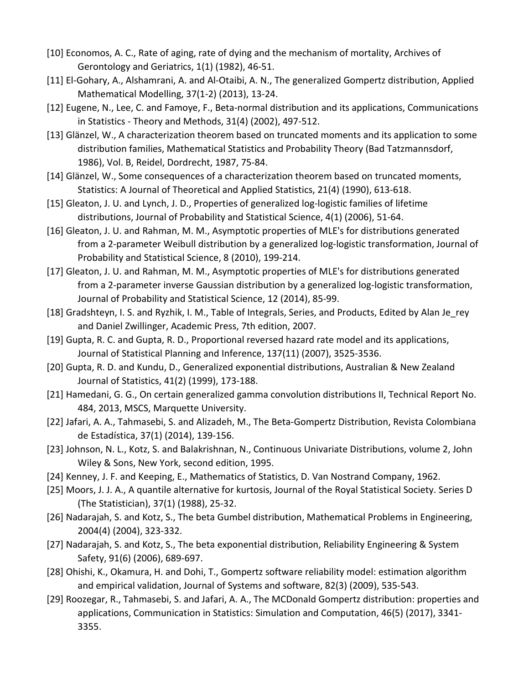- [10] Economos, A. C., Rate of aging, rate of dying and the mechanism of mortality, Archives of Gerontology and Geriatrics, 1(1) (1982), 46-51.
- [11] El-Gohary, A., Alshamrani, A. and Al-Otaibi, A. N., The generalized Gompertz distribution, Applied Mathematical Modelling, 37(1-2) (2013), 13-24.
- [12] Eugene, N., Lee, C. and Famoye, F., Beta-normal distribution and its applications, Communications in Statistics - Theory and Methods, 31(4) (2002), 497-512.
- [13] Glänzel, W., A characterization theorem based on truncated moments and its application to some distribution families, Mathematical Statistics and Probability Theory (Bad Tatzmannsdorf, 1986), Vol. B, Reidel, Dordrecht, 1987, 75-84.
- [14] Glänzel, W., Some consequences of a characterization theorem based on truncated moments, Statistics: A Journal of Theoretical and Applied Statistics, 21(4) (1990), 613-618.
- [15] Gleaton, J. U. and Lynch, J. D., Properties of generalized log-logistic families of lifetime distributions, Journal of Probability and Statistical Science, 4(1) (2006), 51-64.
- [16] Gleaton, J. U. and Rahman, M. M., Asymptotic properties of MLE's for distributions generated from a 2-parameter Weibull distribution by a generalized log-logistic transformation, Journal of Probability and Statistical Science, 8 (2010), 199-214.
- [17] Gleaton, J. U. and Rahman, M. M., Asymptotic properties of MLE's for distributions generated from a 2-parameter inverse Gaussian distribution by a generalized log-logistic transformation, Journal of Probability and Statistical Science, 12 (2014), 85-99.
- [18] Gradshteyn, I. S. and Ryzhik, I. M., Table of Integrals, Series, and Products, Edited by Alan Je\_rey and Daniel Zwillinger, Academic Press, 7th edition, 2007.
- [19] Gupta, R. C. and Gupta, R. D., Proportional reversed hazard rate model and its applications, Journal of Statistical Planning and Inference, 137(11) (2007), 3525-3536.
- [20] Gupta, R. D. and Kundu, D., Generalized exponential distributions, Australian & New Zealand Journal of Statistics, 41(2) (1999), 173-188.
- [21] Hamedani, G. G., On certain generalized gamma convolution distributions II, Technical Report No. 484, 2013, MSCS, Marquette University.
- [22] Jafari, A. A., Tahmasebi, S. and Alizadeh, M., The Beta-Gompertz Distribution, Revista Colombiana de Estadística, 37(1) (2014), 139-156.
- [23] Johnson, N. L., Kotz, S. and Balakrishnan, N., Continuous Univariate Distributions, volume 2, John Wiley & Sons, New York, second edition, 1995.
- [24] Kenney, J. F. and Keeping, E., Mathematics of Statistics, D. Van Nostrand Company, 1962.
- [25] Moors, J. J. A., A quantile alternative for kurtosis, Journal of the Royal Statistical Society. Series D (The Statistician), 37(1) (1988), 25-32.
- [26] Nadarajah, S. and Kotz, S., The beta Gumbel distribution, Mathematical Problems in Engineering, 2004(4) (2004), 323-332.
- [27] Nadarajah, S. and Kotz, S., The beta exponential distribution, Reliability Engineering & System Safety, 91(6) (2006), 689-697.
- [28] Ohishi, K., Okamura, H. and Dohi, T., Gompertz software reliability model: estimation algorithm and empirical validation, Journal of Systems and software, 82(3) (2009), 535-543.
- [29] Roozegar, R., Tahmasebi, S. and Jafari, A. A., The MCDonald Gompertz distribution: properties and applications, Communication in Statistics: Simulation and Computation, 46(5) (2017), 3341- 3355.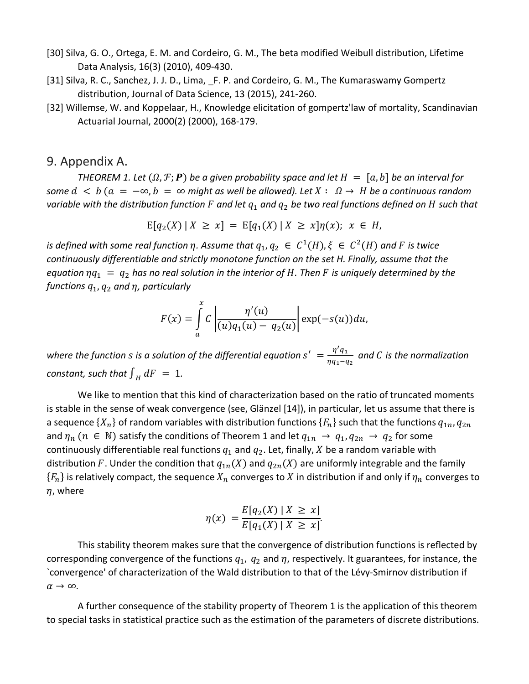- [30] Silva, G. O., Ortega, E. M. and Cordeiro, G. M., The beta modified Weibull distribution, Lifetime Data Analysis, 16(3) (2010), 409-430.
- [31] Silva, R. C., Sanchez, J. J. D., Lima, F. P. and Cordeiro, G. M., The Kumaraswamy Gompertz distribution, Journal of Data Science, 13 (2015), 241-260.
- [32] Willemse, W. and Koppelaar, H., Knowledge elicitation of gompertz'law of mortality, Scandinavian Actuarial Journal, 2000(2) (2000), 168-179.

# 9. Appendix A.

*THEOREM 1. Let*  $(\Omega, \mathcal{F}; P)$  *be a given probability space and let*  $H = [\alpha, b]$  *be an interval for some*  $d$  <  $b$  ( $a$  =  $-\infty$ ,  $b$  =  $\infty$  might as well be allowed). Let  $X: \Omega \to H$  be a continuous random *variable with the distribution function* F and let  $q_1$  and  $q_2$  be two real functions defined on H such that

$$
E[q_2(X) | X \ge x] = E[q_1(X) | X \ge x] \eta(x); x \in H,
$$

*is defined with some real function*  $\eta$ *. Assume that*  $q_1, q_2 \in C^1(H), \xi \in C^2(H)$  and F is twice *continuously differentiable and strictly monotone function on the set H. Finally, assume that the equation*  $\eta q_1 = q_2$  has no real solution in the interior of H. Then F is uniquely determined by the *functions*  $q_1$ *,*  $q_2$  *and*  $\eta$ *, particularly* 

$$
F(x) = \int_{a}^{x} C \left| \frac{\eta'(u)}{(u)q_1(u) - q_2(u)} \right| \exp(-s(u)) du,
$$

where the function  $s$  is a solution of the differential equation  $s' = \frac{\eta' q_1}{\eta q_1 - q_2}$  and  $C$  is the normalization *constant, such that*  $\int_H dF = 1$ *.* 

We like to mention that this kind of characterization based on the ratio of truncated moments is stable in the sense of weak convergence (see, Glänzel [14]), in particular, let us assume that there is a sequence  $\{X_n\}$  of random variables with distribution functions  $\{F_n\}$  such that the functions  $q_{1n}$ ,  $q_{2n}$ and  $\eta_n$  ( $n \in \mathbb{N}$ ) satisfy the conditions of Theorem 1 and let  $q_{1n} \to q_1, q_{2n} \to q_2$  for some continuously differentiable real functions  $q_1$  and  $q_2$ . Let, finally, X be a random variable with distribution F. Under the condition that  $q_{1n}(X)$  and  $q_{2n}(X)$  are uniformly integrable and the family  ${F_n}$  is relatively compact, the sequence  $X_n$  converges to X in distribution if and only if  $\eta_n$  converges to  $\eta$ , where

$$
\eta(x) = \frac{E[q_2(X) \mid X \ge x]}{E[q_1(X) \mid X \ge x]}.
$$

This stability theorem makes sure that the convergence of distribution functions is reflected by corresponding convergence of the functions  $q_1$ ,  $q_2$  and  $\eta$ , respectively. It guarantees, for instance, the `convergence' of characterization of the Wald distribution to that of the Lévy-Smirnov distribution if  $\alpha \rightarrow \infty$ .

A further consequence of the stability property of Theorem 1 is the application of this theorem to special tasks in statistical practice such as the estimation of the parameters of discrete distributions.